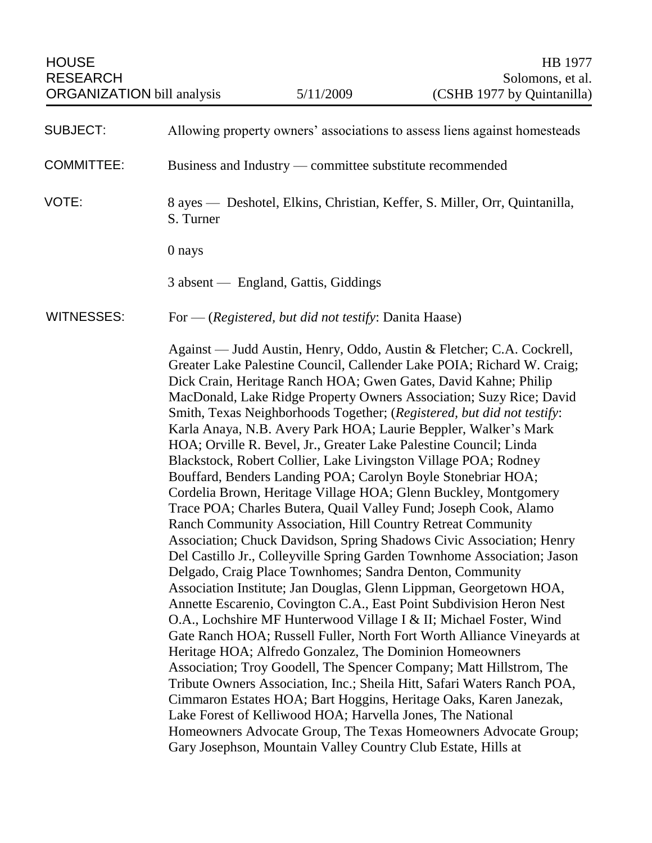| <b>HOUSE</b><br><b>RESEARCH</b><br><b>ORGANIZATION</b> bill analysis |                                                                                         | 5/11/2009                                                  | HB 1977<br>Solomons, et al.<br>(CSHB 1977 by Quintanilla)                                                                                                                                                                                                                                                                                                                                                                                                                                                                                                                                                                                                                                                                                                                                                                                                                                                                                                                                                                                                                                                                                                                                                                                                                                                                                                                                                                                                                                                                                                                                                                                                                                                                                                                               |  |
|----------------------------------------------------------------------|-----------------------------------------------------------------------------------------|------------------------------------------------------------|-----------------------------------------------------------------------------------------------------------------------------------------------------------------------------------------------------------------------------------------------------------------------------------------------------------------------------------------------------------------------------------------------------------------------------------------------------------------------------------------------------------------------------------------------------------------------------------------------------------------------------------------------------------------------------------------------------------------------------------------------------------------------------------------------------------------------------------------------------------------------------------------------------------------------------------------------------------------------------------------------------------------------------------------------------------------------------------------------------------------------------------------------------------------------------------------------------------------------------------------------------------------------------------------------------------------------------------------------------------------------------------------------------------------------------------------------------------------------------------------------------------------------------------------------------------------------------------------------------------------------------------------------------------------------------------------------------------------------------------------------------------------------------------------|--|
| <b>SUBJECT:</b>                                                      |                                                                                         |                                                            | Allowing property owners' associations to assess liens against homesteads                                                                                                                                                                                                                                                                                                                                                                                                                                                                                                                                                                                                                                                                                                                                                                                                                                                                                                                                                                                                                                                                                                                                                                                                                                                                                                                                                                                                                                                                                                                                                                                                                                                                                                               |  |
| <b>COMMITTEE:</b>                                                    | Business and Industry — committee substitute recommended                                |                                                            |                                                                                                                                                                                                                                                                                                                                                                                                                                                                                                                                                                                                                                                                                                                                                                                                                                                                                                                                                                                                                                                                                                                                                                                                                                                                                                                                                                                                                                                                                                                                                                                                                                                                                                                                                                                         |  |
| VOTE:                                                                | 8 ayes — Deshotel, Elkins, Christian, Keffer, S. Miller, Orr, Quintanilla,<br>S. Turner |                                                            |                                                                                                                                                                                                                                                                                                                                                                                                                                                                                                                                                                                                                                                                                                                                                                                                                                                                                                                                                                                                                                                                                                                                                                                                                                                                                                                                                                                                                                                                                                                                                                                                                                                                                                                                                                                         |  |
|                                                                      | 0 nays                                                                                  |                                                            |                                                                                                                                                                                                                                                                                                                                                                                                                                                                                                                                                                                                                                                                                                                                                                                                                                                                                                                                                                                                                                                                                                                                                                                                                                                                                                                                                                                                                                                                                                                                                                                                                                                                                                                                                                                         |  |
|                                                                      |                                                                                         | 3 absent — England, Gattis, Giddings                       |                                                                                                                                                                                                                                                                                                                                                                                                                                                                                                                                                                                                                                                                                                                                                                                                                                                                                                                                                                                                                                                                                                                                                                                                                                                                                                                                                                                                                                                                                                                                                                                                                                                                                                                                                                                         |  |
| <b>WITNESSES:</b>                                                    | For — (Registered, but did not testify: Danita Haase)                                   |                                                            |                                                                                                                                                                                                                                                                                                                                                                                                                                                                                                                                                                                                                                                                                                                                                                                                                                                                                                                                                                                                                                                                                                                                                                                                                                                                                                                                                                                                                                                                                                                                                                                                                                                                                                                                                                                         |  |
|                                                                      |                                                                                         | Lake Forest of Kelliwood HOA; Harvella Jones, The National | Against — Judd Austin, Henry, Oddo, Austin & Fletcher; C.A. Cockrell,<br>Greater Lake Palestine Council, Callender Lake POIA; Richard W. Craig;<br>Dick Crain, Heritage Ranch HOA; Gwen Gates, David Kahne; Philip<br>MacDonald, Lake Ridge Property Owners Association; Suzy Rice; David<br>Smith, Texas Neighborhoods Together; (Registered, but did not testify:<br>Karla Anaya, N.B. Avery Park HOA; Laurie Beppler, Walker's Mark<br>HOA; Orville R. Bevel, Jr., Greater Lake Palestine Council; Linda<br>Blackstock, Robert Collier, Lake Livingston Village POA; Rodney<br>Bouffard, Benders Landing POA; Carolyn Boyle Stonebriar HOA;<br>Cordelia Brown, Heritage Village HOA; Glenn Buckley, Montgomery<br>Trace POA; Charles Butera, Quail Valley Fund; Joseph Cook, Alamo<br>Ranch Community Association, Hill Country Retreat Community<br>Association; Chuck Davidson, Spring Shadows Civic Association; Henry<br>Del Castillo Jr., Colleyville Spring Garden Townhome Association; Jason<br>Delgado, Craig Place Townhomes; Sandra Denton, Community<br>Association Institute; Jan Douglas, Glenn Lippman, Georgetown HOA,<br>Annette Escarenio, Covington C.A., East Point Subdivision Heron Nest<br>O.A., Lochshire MF Hunterwood Village I & II; Michael Foster, Wind<br>Gate Ranch HOA; Russell Fuller, North Fort Worth Alliance Vineyards at<br>Heritage HOA; Alfredo Gonzalez, The Dominion Homeowners<br>Association; Troy Goodell, The Spencer Company; Matt Hillstrom, The<br>Tribute Owners Association, Inc.; Sheila Hitt, Safari Waters Ranch POA,<br>Cimmaron Estates HOA; Bart Hoggins, Heritage Oaks, Karen Janezak,<br>Homeowners Advocate Group, The Texas Homeowners Advocate Group;<br>Gary Josephson, Mountain Valley Country Club Estate, Hills at |  |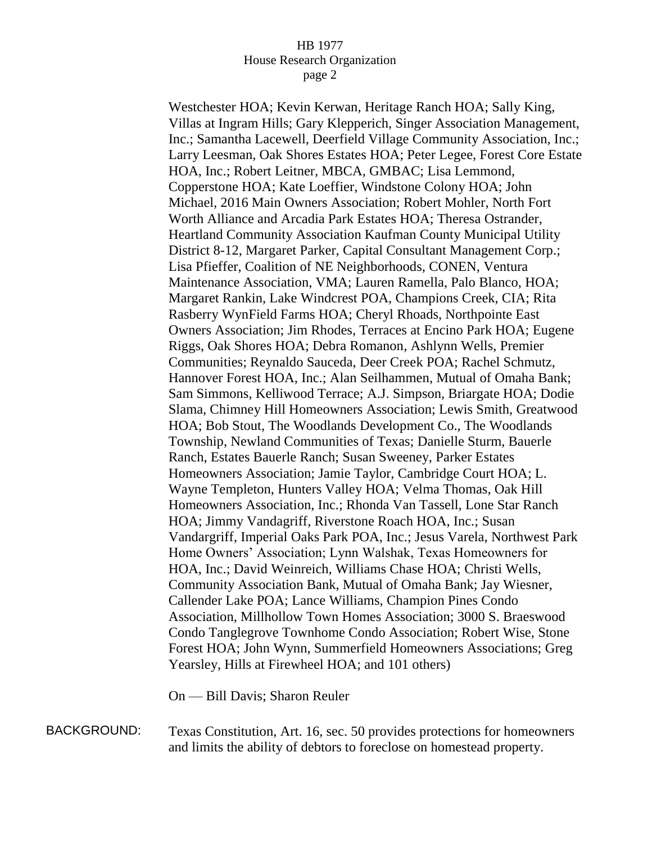## HB 1977 House Research Organization page 2

Westchester HOA; Kevin Kerwan, Heritage Ranch HOA; Sally King, Villas at Ingram Hills; Gary Klepperich, Singer Association Management, Inc.; Samantha Lacewell, Deerfield Village Community Association, Inc.; Larry Leesman, Oak Shores Estates HOA; Peter Legee, Forest Core Estate HOA, Inc.; Robert Leitner, MBCA, GMBAC; Lisa Lemmond, Copperstone HOA; Kate Loeffier, Windstone Colony HOA; John Michael, 2016 Main Owners Association; Robert Mohler, North Fort Worth Alliance and Arcadia Park Estates HOA; Theresa Ostrander, Heartland Community Association Kaufman County Municipal Utility District 8-12, Margaret Parker, Capital Consultant Management Corp.; Lisa Pfieffer, Coalition of NE Neighborhoods, CONEN, Ventura Maintenance Association, VMA; Lauren Ramella, Palo Blanco, HOA; Margaret Rankin, Lake Windcrest POA, Champions Creek, CIA; Rita Rasberry WynField Farms HOA; Cheryl Rhoads, Northpointe East Owners Association; Jim Rhodes, Terraces at Encino Park HOA; Eugene Riggs, Oak Shores HOA; Debra Romanon, Ashlynn Wells, Premier Communities; Reynaldo Sauceda, Deer Creek POA; Rachel Schmutz, Hannover Forest HOA, Inc.; Alan Seilhammen, Mutual of Omaha Bank; Sam Simmons, Kelliwood Terrace; A.J. Simpson, Briargate HOA; Dodie Slama, Chimney Hill Homeowners Association; Lewis Smith, Greatwood HOA; Bob Stout, The Woodlands Development Co., The Woodlands Township, Newland Communities of Texas; Danielle Sturm, Bauerle Ranch, Estates Bauerle Ranch; Susan Sweeney, Parker Estates Homeowners Association; Jamie Taylor, Cambridge Court HOA; L. Wayne Templeton, Hunters Valley HOA; Velma Thomas, Oak Hill Homeowners Association, Inc.; Rhonda Van Tassell, Lone Star Ranch HOA; Jimmy Vandagriff, Riverstone Roach HOA, Inc.; Susan Vandargriff, Imperial Oaks Park POA, Inc.; Jesus Varela, Northwest Park Home Owners' Association; Lynn Walshak, Texas Homeowners for HOA, Inc.; David Weinreich, Williams Chase HOA; Christi Wells, Community Association Bank, Mutual of Omaha Bank; Jay Wiesner, Callender Lake POA; Lance Williams, Champion Pines Condo Association, Millhollow Town Homes Association; 3000 S. Braeswood Condo Tanglegrove Townhome Condo Association; Robert Wise, Stone Forest HOA; John Wynn, Summerfield Homeowners Associations; Greg Yearsley, Hills at Firewheel HOA; and 101 others)

On — Bill Davis; Sharon Reuler

BACKGROUND: Texas Constitution, Art. 16, sec. 50 provides protections for homeowners and limits the ability of debtors to foreclose on homestead property.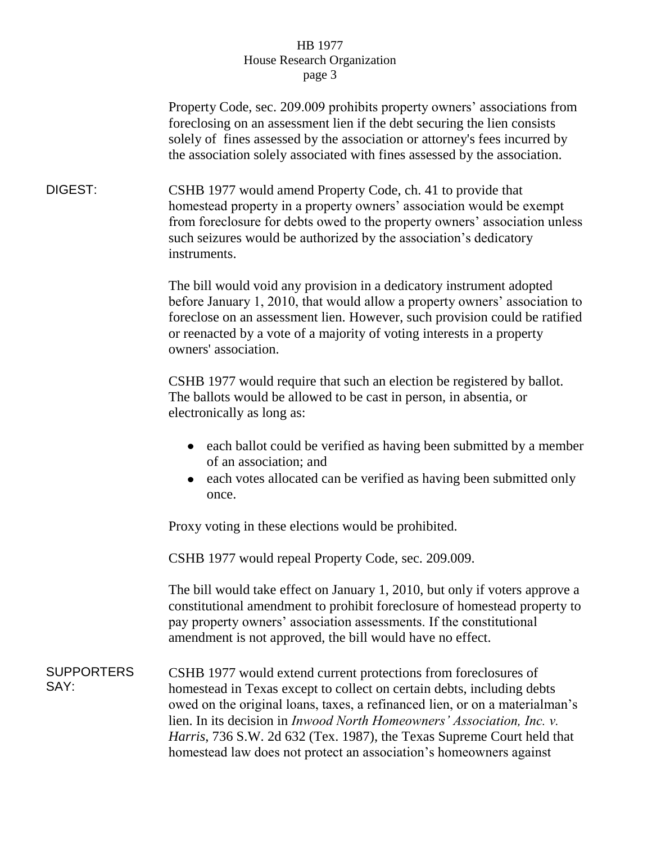## HB 1977 House Research Organization page 3

Property Code, sec. 209.009 prohibits property owners' associations from foreclosing on an assessment lien if the debt securing the lien consists solely of fines assessed by the association or attorney's fees incurred by the association solely associated with fines assessed by the association.

DIGEST: CSHB 1977 would amend Property Code, ch. 41 to provide that homestead property in a property owners' association would be exempt from foreclosure for debts owed to the property owners' association unless such seizures would be authorized by the association's dedicatory instruments.

> The bill would void any provision in a dedicatory instrument adopted before January 1, 2010, that would allow a property owners' association to foreclose on an assessment lien. However, such provision could be ratified or reenacted by a vote of a majority of voting interests in a property owners' association.

CSHB 1977 would require that such an election be registered by ballot. The ballots would be allowed to be cast in person, in absentia, or electronically as long as:

- each ballot could be verified as having been submitted by a member of an association; and
- each votes allocated can be verified as having been submitted only once.

Proxy voting in these elections would be prohibited.

CSHB 1977 would repeal Property Code, sec. 209.009.

The bill would take effect on January 1, 2010, but only if voters approve a constitutional amendment to prohibit foreclosure of homestead property to pay property owners' association assessments. If the constitutional amendment is not approved, the bill would have no effect.

SUPPORTERS SAY: CSHB 1977 would extend current protections from foreclosures of homestead in Texas except to collect on certain debts, including debts owed on the original loans, taxes, a refinanced lien, or on a materialman's lien. In its decision in *Inwood North Homeowners' Association, Inc. v. Harris*, 736 S.W. 2d 632 (Tex. 1987), the Texas Supreme Court held that homestead law does not protect an association's homeowners against